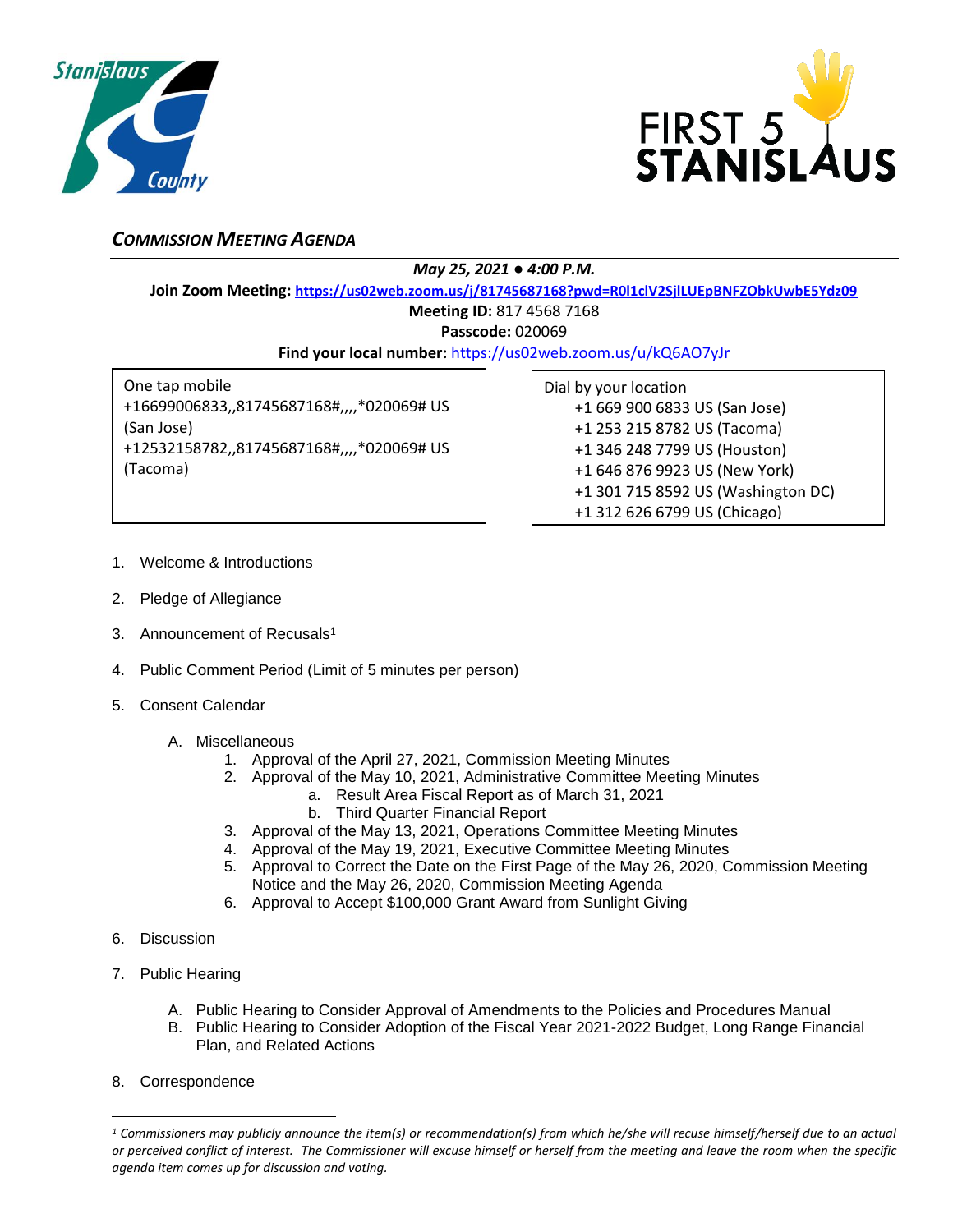



## *COMMISSION MEETING AGENDA*

## *May 25, 2021 ● 4:00 P.M.*

**Join Zoom Meeting: <https://us02web.zoom.us/j/81745687168?pwd=R0l1clV2SjlLUEpBNFZObkUwbE5Ydz09>**

## **Meeting ID:** 817 4568 7168

**Passcode:** 020069

**Find your local number:** <https://us02web.zoom.us/u/kQ6AO7yJr>

One tap mobile +16699006833,,81745687168#,,,,\*020069# US (San Jose) +12532158782,,81745687168#,,,,\*020069# US (Tacoma)

|  |  | Dial by your location |                                    |
|--|--|-----------------------|------------------------------------|
|  |  |                       | +1 669 900 6833 US (San Jose)      |
|  |  |                       | +1 253 215 8782 US (Tacoma)        |
|  |  |                       | +1 346 248 7799 US (Houston)       |
|  |  |                       | +1 646 876 9923 US (New York)      |
|  |  |                       | +1 301 715 8592 US (Washington DC) |
|  |  |                       | +1 312 626 6799 US (Chicago)       |

- 1. Welcome & Introductions
- 2. Pledge of Allegiance
- 3. Announcement of Recusals<sup>1</sup>
- 4. Public Comment Period (Limit of 5 minutes per person)
- 5. Consent Calendar
	- A. Miscellaneous
		- 1. Approval of the April 27, 2021, Commission Meeting Minutes
		- 2. Approval of the May 10, 2021, Administrative Committee Meeting Minutes
			- a. Result Area Fiscal Report as of March 31, 2021
				- b. Third Quarter Financial Report
		- 3. Approval of the May 13, 2021, Operations Committee Meeting Minutes
		- 4. Approval of the May 19, 2021, Executive Committee Meeting Minutes
		- 5. Approval to Correct the Date on the First Page of the May 26, 2020, Commission Meeting Notice and the May 26, 2020, Commission Meeting Agenda
		- 6. Approval to Accept \$100,000 Grant Award from Sunlight Giving
- 6. Discussion
- 7. Public Hearing
	- A. Public Hearing to Consider Approval of Amendments to the Policies and Procedures Manual
	- B. Public Hearing to Consider Adoption of the Fiscal Year 2021-2022 Budget, Long Range Financial Plan, and Related Actions
- 8. Correspondence

 $\overline{a}$ 

*<sup>1</sup> Commissioners may publicly announce the item(s) or recommendation(s) from which he/she will recuse himself/herself due to an actual or perceived conflict of interest. The Commissioner will excuse himself or herself from the meeting and leave the room when the specific agenda item comes up for discussion and voting.*